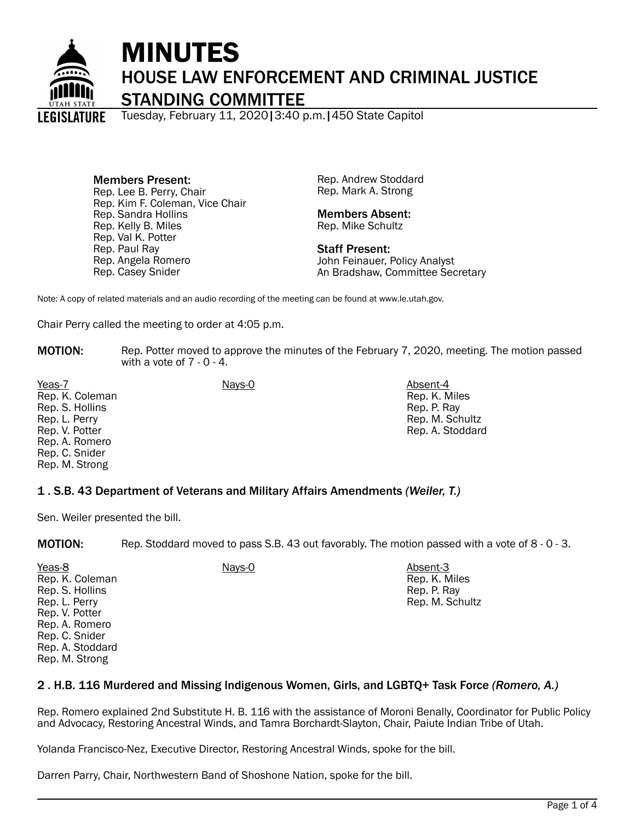

# MINUTES HOUSE LAW ENFORCEMENT AND CRIMINAL JUSTICE STANDING COMMITTEE

Tuesday, February 11, 2020|3:40 p.m.|450 State Capitol

Members Present: Rep. Lee B. Perry, Chair Rep. Kim F. Coleman, Vice Chair Rep. Sandra Hollins Rep. Kelly B. Miles Rep. Val K. Potter Rep. Paul Ray Rep. Angela Romero Rep. Casey Snider

Rep. Andrew Stoddard Rep. Mark A. Strong

### Members Absent: Rep. Mike Schultz

Staff Present: John Feinauer, Policy Analyst An Bradshaw, Committee Secretary

Note: A copy of related materials and an audio recording of the meeting can be found at www.le.utah.gov.

Chair Perry called the meeting to order at 4:05 p.m.

**MOTION:** Rep. Potter moved to approve the minutes of the February 7, 2020, meeting. The motion passed with a vote of  $7 - 0 - 4$ .

Yeas-7 Absent-4 **Nays-0** Absent-4 Rep. K. Coleman Rep. S. Hollins Rep. L. Perry Rep. V. Potter Rep. A. Romero Rep. C. Snider Rep. M. Strong

Rep. K. Miles Rep. P. Ray Rep. M. Schultz Rep. A. Stoddard

## 1 . S.B. 43 Department of Veterans and Military Affairs Amendments *(Weiler, T.)*

Sen. Weiler presented the bill.

MOTION: Rep. Stoddard moved to pass S.B. 43 out favorably. The motion passed with a vote of 8 - 0 - 3.

Yeas-8 Nays-0 Absent-3 Rep. K. Coleman Rep. S. Hollins Rep. L. Perry Rep. V. Potter Rep. A. Romero Rep. C. Snider Rep. A. Stoddard Rep. M. Strong

Rep. K. Miles Rep. P. Ray Rep. M. Schultz

## 2 . H.B. 116 Murdered and Missing Indigenous Women, Girls, and LGBTQ+ Task Force *(Romero, A.)*

Rep. Romero explained 2nd Substitute H. B. 116 with the assistance of Moroni Benally, Coordinator for Public Policy and Advocacy, Restoring Ancestral Winds, and Tamra Borchardt-Slayton, Chair, Paiute Indian Tribe of Utah.

Yolanda Francisco-Nez, Executive Director, Restoring Ancestral Winds, spoke for the bill.

Darren Parry, Chair, Northwestern Band of Shoshone Nation, spoke for the bill.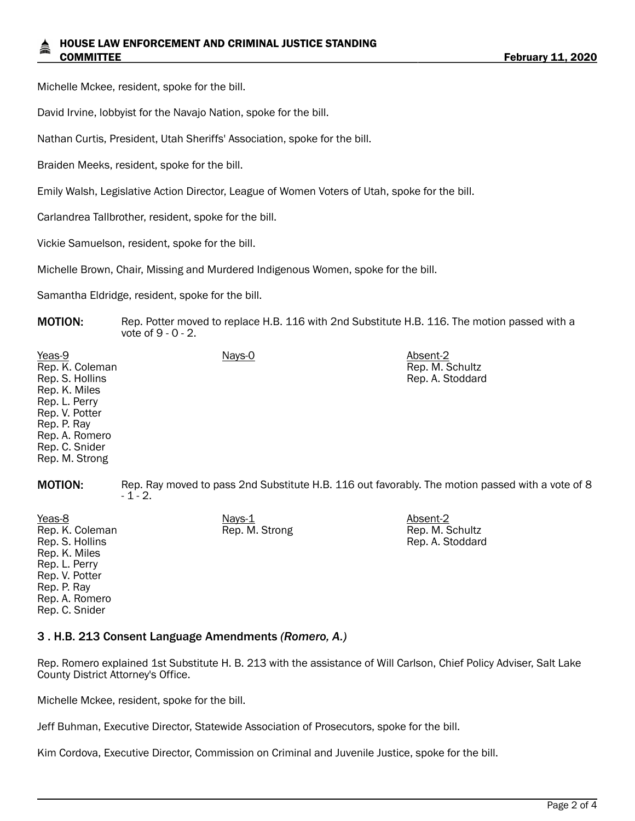### HOUSE LAW ENFORCEMENT AND CRIMINAL JUSTICE STANDING COMMITTEE **February 11, 2020**

Michelle Mckee, resident, spoke for the bill.

David Irvine, lobbyist for the Navajo Nation, spoke for the bill.

Nathan Curtis, President, Utah Sheriffs' Association, spoke for the bill.

Braiden Meeks, resident, spoke for the bill.

Emily Walsh, Legislative Action Director, League of Women Voters of Utah, spoke for the bill.

Carlandrea Tallbrother, resident, spoke for the bill.

Vickie Samuelson, resident, spoke for the bill.

Michelle Brown, Chair, Missing and Murdered Indigenous Women, spoke for the bill.

Samantha Eldridge, resident, spoke for the bill.

**MOTION:** Rep. Potter moved to replace H.B. 116 with 2nd Substitute H.B. 116. The motion passed with a vote of 9 - 0 - 2.

| Yeas-9<br>Rep. K. Coleman<br>Rep. S. Hollins<br>Rep. K. Miles<br>Rep. L. Perry<br>Rep. V. Potter<br>Rep. P. Ray<br>Rep. A. Romero<br>Rep. C. Snider<br>Rep. M. Strong | Nays-0                                                                                                      | Absent-2<br>Rep. M. Schultz<br>Rep. A. Stoddard |
|-----------------------------------------------------------------------------------------------------------------------------------------------------------------------|-------------------------------------------------------------------------------------------------------------|-------------------------------------------------|
| <b>MOTION:</b>                                                                                                                                                        | Rep. Ray moved to pass 2nd Substitute H.B. 116 out favorably. The motion passed with a vote of 8<br>$-1-2.$ |                                                 |

Rep. M. Strong Rep. M. Schultz

Rep. A. Stoddard

Yeas-8 Nays-1 Absent-2 Rep. K. Coleman Rep. S. Hollins Rep. K. Miles Rep. L. Perry Rep. V. Potter Rep. P. Ray Rep. A. Romero Rep. C. Snider

### 3 . H.B. 213 Consent Language Amendments *(Romero, A.)*

Rep. Romero explained 1st Substitute H. B. 213 with the assistance of Will Carlson, Chief Policy Adviser, Salt Lake County District Attorney's Office.

Michelle Mckee, resident, spoke for the bill.

Jeff Buhman, Executive Director, Statewide Association of Prosecutors, spoke for the bill.

Kim Cordova, Executive Director, Commission on Criminal and Juvenile Justice, spoke for the bill.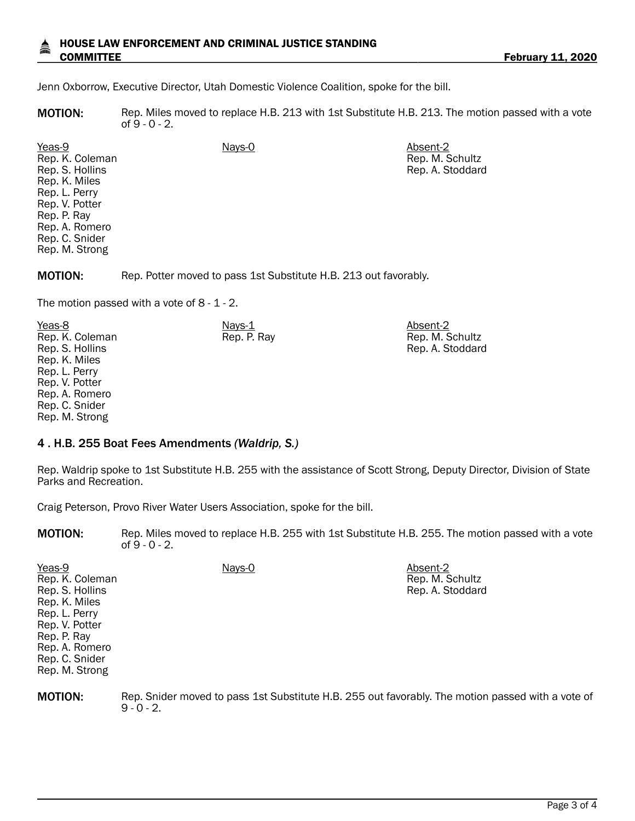### HOUSE LAW ENFORCEMENT AND CRIMINAL JUSTICE STANDING COMMITTEE **February 11, 2020**

Rep. M. Schultz Rep. A. Stoddard

Jenn Oxborrow, Executive Director, Utah Domestic Violence Coalition, spoke for the bill.

MOTION: Rep. Miles moved to replace H.B. 213 with 1st Substitute H.B. 213. The motion passed with a vote of 9 - 0 - 2.

Yeas-9 Nays-0 Absent-2 Rep. K. Coleman Rep. S. Hollins Rep. K. Miles Rep. L. Perry Rep. V. Potter Rep. P. Ray Rep. A. Romero Rep. C. Snider Rep. M. Strong

MOTION: Rep. Potter moved to pass 1st Substitute H.B. 213 out favorably.

The motion passed with a vote of  $8 - 1 - 2$ .

Yeas-8 Nays-1 Absent-2 Rep. K. Coleman Rep. S. Hollins Rep. K. Miles Rep. L. Perry Rep. V. Potter Rep. A. Romero Rep. C. Snider Rep. M. Strong Rep. P. Ray Rep. M. Schultz Rep. A. Stoddard

## 4 . H.B. 255 Boat Fees Amendments *(Waldrip, S.)*

Rep. Waldrip spoke to 1st Substitute H.B. 255 with the assistance of Scott Strong, Deputy Director, Division of State Parks and Recreation.

Craig Peterson, Provo River Water Users Association, spoke for the bill.

MOTION: Rep. Miles moved to replace H.B. 255 with 1st Substitute H.B. 255. The motion passed with a vote of 9 - 0 - 2.

| Yeas-9          | Nays-0 | Absent-2         |
|-----------------|--------|------------------|
| Rep. K. Coleman |        | Rep. M. Schultz  |
| Rep. S. Hollins |        | Rep. A. Stoddard |
| Rep. K. Miles   |        |                  |
| Rep. L. Perry   |        |                  |
| Rep. V. Potter  |        |                  |
| Rep. P. Ray     |        |                  |
| Rep. A. Romero  |        |                  |
| Rep. C. Snider  |        |                  |
| Rep. M. Strong  |        |                  |

MOTION: Rep. Snider moved to pass 1st Substitute H.B. 255 out favorably. The motion passed with a vote of  $9 - 0 - 2$ .